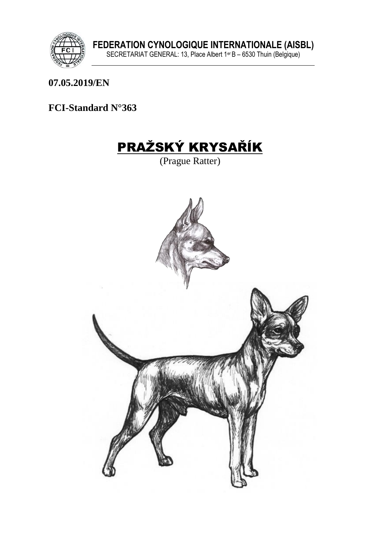

07.05.2019/EN

FCI-Standard N°363

# **PRAŽSKÝ KRYSAŘÍK**

(Prague Ratter)

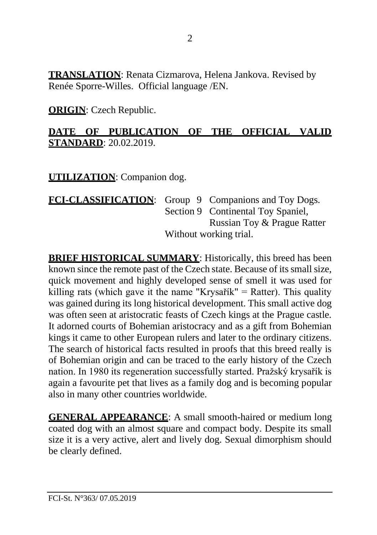**TRANSLATION**: Renata Cizmarova, Helena Jankova. Revised by Renée Sporre-Willes. Official language /EN.

**ORIGIN**: Czech Republic.

#### **DATE OF PUBLICATION OF THE OFFICIAL VALID STANDARD**: 20.02.2019.

**UTILIZATION**: Companion dog.

FCI-CLASSIFICATION: Group 9 Companions and Toy Dogs. Section 9 Continental Toy Spaniel, Russian Toy & Prague Ratter Without working trial.

**BRIEF HISTORICAL SUMMARY:** Historically, this breed has been known since the remote past of the Czech state. Because of its small size, quick movement and highly developed sense of smell it was used for killing rats (which gave it the name "Krysařík" = Ratter). This quality was gained during its long historical development. This small active dog was often seen at aristocratic feasts of Czech kings at the Prague castle. It adorned courts of Bohemian aristocracy and as a gift from Bohemian kings it came to other European rulers and later to the ordinary citizens. The search of historical facts resulted in proofs that this breed really is of Bohemian origin and can be traced to the early history of the Czech nation. In 1980 its regeneration successfully started. Pražský krysařík is again a favourite pet that lives as a family dog and is becoming popular also in many other countries worldwide.

**GENERAL APPEARANCE**: A small smooth-haired or medium long coated dog with an almost square and compact body. Despite its small size it is a very active, alert and lively dog. Sexual dimorphism should be clearly defined.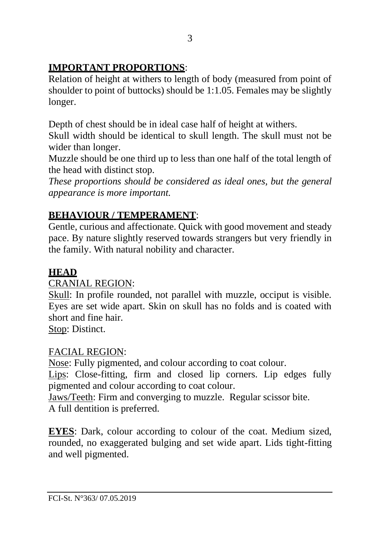## **IMPORTANT PROPORTIONS**:

Relation of height at withers to length of body (measured from point of shoulder to point of buttocks) should be 1:1.05. Females may be slightly longer.

Depth of chest should be in ideal case half of height at withers.

Skull width should be identical to skull length. The skull must not be wider than longer.

Muzzle should be one third up to less than one half of the total length of the head with distinct stop.

*These proportions should be considered as ideal ones, but the general appearance is more important.*

## **BEHAVIOUR / TEMPERAMENT**:

Gentle, curious and affectionate. Quick with good movement and steady pace. By nature slightly reserved towards strangers but very friendly in the family. With natural nobility and character.

#### **HEAD**

#### CRANIAL REGION:

Skull: In profile rounded, not parallel with muzzle, occiput is visible. Eyes are set wide apart. Skin on skull has no folds and is coated with short and fine hair.

Stop: Distinct.

## FACIAL REGION:

Nose: Fully pigmented, and colour according to coat colour.

Lips: Close-fitting, firm and closed lip corners. Lip edges fully pigmented and colour according to coat colour.

Jaws/Teeth: Firm and converging to muzzle. Regular scissor bite. A full dentition is preferred.

**EYES**: Dark, colour according to colour of the coat. Medium sized, rounded, no exaggerated bulging and set wide apart. Lids tight-fitting and well pigmented.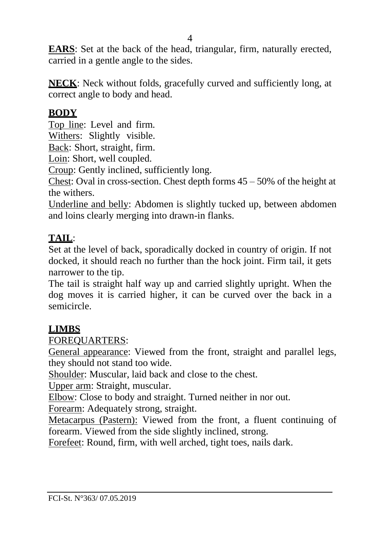**EARS**: Set at the back of the head, triangular, firm, naturally erected, carried in a gentle angle to the sides.

**NECK**: Neck without folds, gracefully curved and sufficiently long, at correct angle to body and head.

#### **BODY**

Top line: Level and firm*.* 

Withers: Slightly visible.

Back: Short, straight, firm.

Loin: Short, well coupled.

Croup: Gently inclined, sufficiently long.

Chest: Oval in cross-section. Chest depth forms 45 – 50% of the height at the withers.

Underline and belly: Abdomen is slightly tucked up, between abdomen and loins clearly merging into drawn-in flanks.

## **TAIL**:

Set at the level of back, sporadically docked in country of origin. If not docked, it should reach no further than the hock joint. Firm tail, it gets narrower to the tip.

The tail is straight half way up and carried slightly upright. When the dog moves it is carried higher, it can be curved over the back in a semicircle.

#### **LIMBS**

#### FOREQUARTERS:

General appearance: Viewed from the front, straight and parallel legs, they should not stand too wide.

Shoulder: Muscular, laid back and close to the chest.

Upper arm: Straight, muscular.

Elbow: Close to body and straight. Turned neither in nor out.

Forearm: Adequately strong, straight.

Metacarpus (Pastern): Viewed from the front, a fluent continuing of forearm. Viewed from the side slightly inclined, strong.

Forefeet: Round, firm, with well arched, tight toes, nails dark.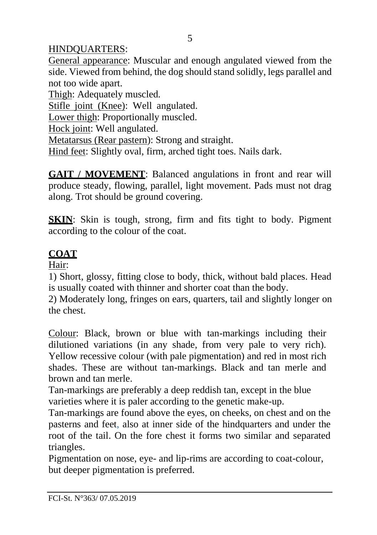#### HINDQUARTERS:

General appearance: Muscular and enough angulated viewed from the side. Viewed from behind, the dog should stand solidly, legs parallel and not too wide apart.

Thigh: Adequately muscled.

Stifle joint (Knee): Well angulated.

Lower thigh: Proportionally muscled.

Hock joint: Well angulated.

Metatarsus (Rear pastern): Strong and straight.

Hind feet: Slightly oval, firm, arched tight toes. Nails dark.

**GAIT / MOVEMENT:** Balanced angulations in front and rear will produce steady, flowing, parallel, light movement. Pads must not drag along. Trot should be ground covering.

**SKIN**: Skin is tough, strong, firm and fits tight to body. Pigment according to the colour of the coat.

## **COAT**

Hair:

1) Short, glossy, fitting close to body, thick, without bald places. Head is usually coated with thinner and shorter coat than the body.

2) Moderately long, fringes on ears, quarters, tail and slightly longer on the chest.

Colour: Black, brown or blue with tan-markings including their dilutioned variations (in any shade, from very pale to very rich). Yellow recessive colour (with pale pigmentation) and red in most rich shades. These are without tan-markings. Black and tan merle and brown and tan merle.

Tan-markings are preferably a deep reddish tan, except in the blue varieties where it is paler according to the genetic make-up.

Tan-markings are found above the eyes, on cheeks, on chest and on the pasterns and feet, also at inner side of the hindquarters and under the root of the tail. On the fore chest it forms two similar and separated triangles.

Pigmentation on nose, eye- and lip-rims are according to coat-colour, but deeper pigmentation is preferred.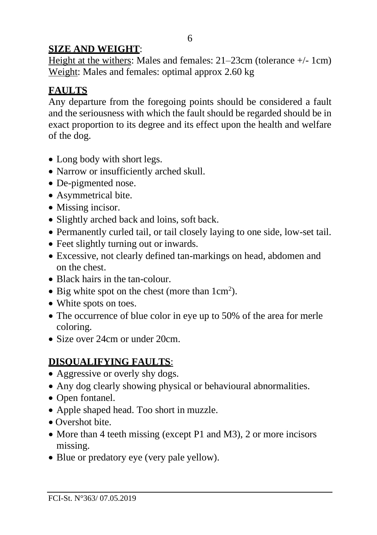#### **SIZE AND WEIGHT**:

Height at the withers: Males and females: 21–23cm (tolerance +/- 1cm) Weight: Males and females: optimal approx 2.60 kg

# **FAULTS**

Any departure from the foregoing points should be considered a fault and the seriousness with which the fault should be regarded should be in exact proportion to its degree and its effect upon the health and welfare of the dog.

- Long body with short legs.
- Narrow or insufficiently arched skull.
- De-pigmented nose.
- Asymmetrical bite.
- Missing incisor.
- Slightly arched back and loins, soft back.
- Permanently curled tail, or tail closely laying to one side, low-set tail.
- Feet slightly turning out or inwards.
- Excessive, not clearly defined tan-markings on head, abdomen and on the chest.
- Black hairs in the tan-colour.
- Big white spot on the chest (more than  $1 \text{ cm}^2$ ).
- White spots on toes.
- The occurrence of blue color in eye up to 50% of the area for merle coloring.
- Size over 24cm or under 20cm.

# **DISQUALIFYING FAULTS**:

- Aggressive or overly shy dogs.
- Any dog clearly showing physical or behavioural abnormalities.
- Open fontanel.
- Apple shaped head. Too short in muzzle.
- Overshot bite.
- More than 4 teeth missing (except P1 and M3), 2 or more incisors missing.
- Blue or predatory eye (very pale yellow).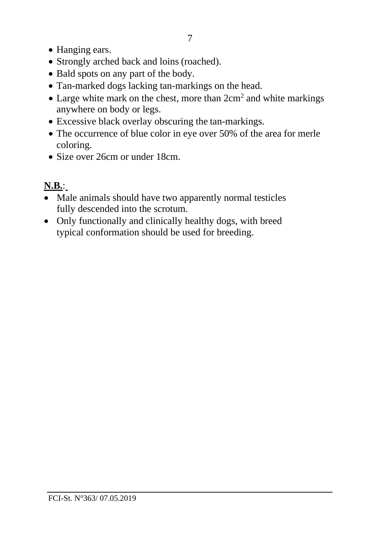- Hanging ears.
- Strongly arched back and loins (roached).
- Bald spots on any part of the body.
- Tan-marked dogs lacking tan-markings on the head.
- Large white mark on the chest, more than  $2 \text{cm}^2$  and white markings anywhere on body or legs.
- Excessive black overlay obscuring the tan-markings.
- The occurrence of blue color in eye over 50% of the area for merle coloring.
- Size over 26cm or under 18cm.

# **N.B.**:

- Male animals should have two apparently normal testicles fully descended into the scrotum.
- Only functionally and clinically healthy dogs, with breed typical conformation should be used for breeding.